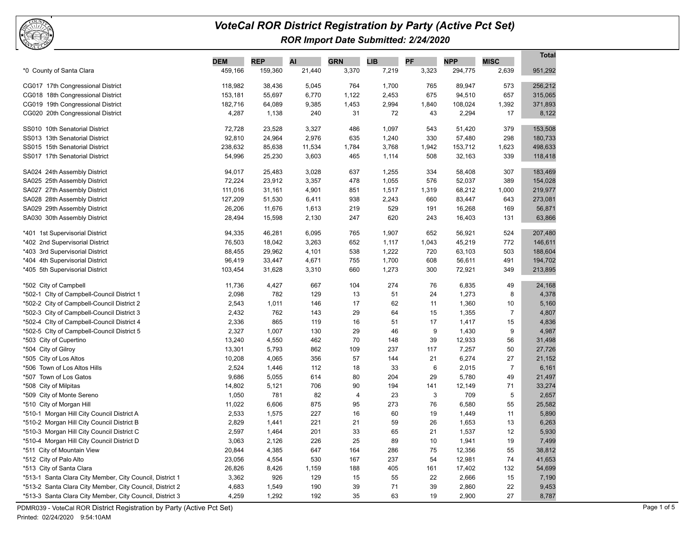

## *VoteCal ROR District Registration by Party (Active Pct Set) ROR Import Date Submitted: 2/24/2020*

|                                                                        | <b>DEM</b>         | <b>REP</b>      | AI           | <b>GRN</b>  | LIB            | PF          | <b>NPP</b>       | <b>MISC</b>    | <b>Total</b>     |
|------------------------------------------------------------------------|--------------------|-----------------|--------------|-------------|----------------|-------------|------------------|----------------|------------------|
| *0 County of Santa Clara                                               | 459,166            | 159,360         | 21,440       | 3,370       | 7,219          | 3,323       | 294,775          | 2,639          | 951,292          |
|                                                                        |                    |                 |              |             |                |             |                  |                |                  |
| CG017 17th Congressional District                                      | 118,982            | 38,436          | 5,045        | 764         | 1,700          | 765         | 89,947           | 573            | 256,212          |
| CG018 18th Congressional District                                      | 153,181<br>182,716 | 55,697          | 6,770        | 1,122       | 2,453<br>2,994 | 675         | 94,510           | 657            | 315,065          |
| CG019 19th Congressional District<br>CG020 20th Congressional District | 4,287              | 64,089<br>1,138 | 9,385<br>240 | 1,453<br>31 | 72             | 1,840<br>43 | 108,024<br>2,294 | 1,392<br>17    | 371,893<br>8,122 |
|                                                                        |                    |                 |              |             |                |             |                  |                |                  |
| SS010 10th Senatorial District                                         | 72,728             | 23,528          | 3,327        | 486         | 1,097          | 543         | 51,420           | 379            | 153,508          |
| SS013 13th Senatorial District                                         | 92,810             | 24,964          | 2,976        | 635         | 1,240          | 330         | 57,480           | 298            | 180,733          |
| SS015 15th Senatorial District                                         | 238,632            | 85,638          | 11,534       | 1,784       | 3,768          | 1,942       | 153,712          | 1,623          | 498,633          |
| SS017 17th Senatorial District                                         | 54,996             | 25,230          | 3,603        | 465         | 1,114          | 508         | 32,163           | 339            | 118,418          |
| SA024 24th Assembly District                                           | 94,017             | 25,483          | 3,028        | 637         | 1,255          | 334         | 58,408           | 307            | 183,469          |
| SA025 25th Assembly District                                           | 72,224             | 23,912          | 3,357        | 478         | 1,055          | 576         | 52,037           | 389            | 154,028          |
| SA027 27th Assembly District                                           | 111,016            | 31,161          | 4,901        | 851         | 1,517          | 1,319       | 68,212           | 1,000          | 219,977          |
| SA028 28th Assembly District                                           | 127,209            | 51,530          | 6,411        | 938         | 2,243          | 660         | 83,447           | 643            | 273,081          |
| SA029 29th Assembly District                                           | 26,206             | 11,676          | 1,613        | 219         | 529            | 191         | 16,268           | 169            | 56,871           |
| SA030 30th Assembly District                                           | 28,494             | 15,598          | 2,130        | 247         | 620            | 243         | 16,403           | 131            | 63,866           |
| *401 1st Supervisorial District                                        | 94,335             | 46,281          | 6,095        | 765         | 1,907          | 652         | 56,921           | 524            | 207,480          |
| *402 2nd Supervisorial District                                        | 76,503             | 18,042          | 3,263        | 652         | 1,117          | 1,043       | 45,219           | 772            | 146,611          |
| *403 3rd Supervisorial District                                        | 88,455             | 29,962          | 4,101        | 538         | 1,222          | 720         | 63,103           | 503            | 188,604          |
| *404 4th Supervisorial District                                        | 96,419             | 33,447          | 4,671        | 755         | 1,700          | 608         | 56,611           | 491            | 194,702          |
| *405 5th Supervisorial District                                        | 103,454            | 31,628          | 3,310        | 660         | 1,273          | 300         | 72,921           | 349            | 213,895          |
| *502 City of Campbell                                                  | 11,736             | 4,427           | 667          | 104         | 274            | 76          | 6,835            | 49             | 24,168           |
| *502-1 Clty of Campbell-Council District 1                             | 2,098              | 782             | 129          | 13          | 51             | 24          | 1,273            | 8              | 4,378            |
| *502-2 City of Campbell-Council District 2                             | 2,543              | 1,011           | 146          | 17          | 62             | 11          | 1,360            | 10             | 5,160            |
| *502-3 City of Campbell-Council District 3                             | 2,432              | 762             | 143          | 29          | 64             | 15          | 1,355            | $\overline{7}$ | 4,807            |
| *502-4 Clty of Campbell-Council District 4                             | 2,336              | 865             | 119          | 16          | 51             | 17          | 1,417            | 15             | 4,836            |
| *502-5 Clty of Campbell-Council District 5                             | 2,327              | 1,007           | 130          | 29          | 46             | 9           | 1,430            | 9              | 4,987            |
| *503 City of Cupertino                                                 | 13,240             | 4,550           | 462          | 70          | 148            | 39          | 12,933           | 56             | 31,498           |
| *504 City of Gilroy                                                    | 13,301             | 5,793           | 862          | 109         | 237            | 117         | 7,257            | 50             | 27,726           |
| *505 City of Los Altos                                                 | 10,208             | 4,065           | 356          | 57          | 144            | 21          | 6,274            | 27             | 21,152           |
| *506 Town of Los Altos Hills                                           | 2,524              | 1,446           | 112          | 18          | 33             | 6           | 2,015            | $\overline{7}$ | 6,161            |
| *507 Town of Los Gatos                                                 | 9,686              | 5,055           | 614          | 80          | 204            | 29          | 5,780            | 49             | 21,497           |
| *508 City of Milpitas                                                  | 14,802             | 5,121           | 706          | 90          | 194            | 141         | 12,149           | 71             | 33,274           |
| *509 City of Monte Sereno                                              | 1,050              | 781             | 82           | 4           | 23             | $\sqrt{3}$  | 709              | 5              | 2,657            |
| *510 City of Morgan Hill                                               | 11,022             | 6,606           | 875          | 95          | 273            | 76          | 6,580            | 55             | 25,582           |
| *510-1 Morgan Hill City Council District A                             | 2,533              | 1,575           | 227          | 16          | 60             | 19          | 1,449            | 11             | 5,890            |
| *510-2 Morgan Hill City Council District B                             | 2,829              | 1,441           | 221          | 21          | 59             | 26          | 1,653            | 13             | 6,263            |
| *510-3 Morgan Hill City Council District C                             | 2,597              | 1,464           | 201          | 33          | 65             | 21          | 1,537            | 12             | 5,930            |
| *510-4 Morgan Hill City Council District D                             | 3,063              | 2,126           | 226          | 25          | 89             | 10          | 1,941            | 19             | 7,499            |
| *511 City of Mountain View                                             | 20,844             | 4,385           | 647          | 164         | 286            | 75          | 12,356           | 55             | 38,812           |
| *512 City of Palo Alto                                                 | 23,056             | 4,554           | 530          | 167         | 237            | 54          | 12,981           | 74             | 41,653           |
| *513 City of Santa Clara                                               | 26,826             | 8,426           | 1,159        | 188         | 405            | 161         | 17,402           | 132            | 54,699           |
| *513-1 Santa Clara City Member, City Council, District 1               | 3,362              | 926             | 129          | 15          | 55             | 22          | 2,666            | 15             | 7,190            |
| *513-2 Santa Clara City Member, City Council, District 2               | 4,683              | 1,549           | 190          | 39          | 71             | 39          | 2,860            | 22             | 9,453            |
| *513-3 Santa Clara City Member, City Council, District 3               | 4,259              | 1,292           | 192          | 35          | 63             | 19          | 2,900            | 27             | 8,787            |

PDMR039 - VoteCal ROR District Registration by Party (Active Pct Set)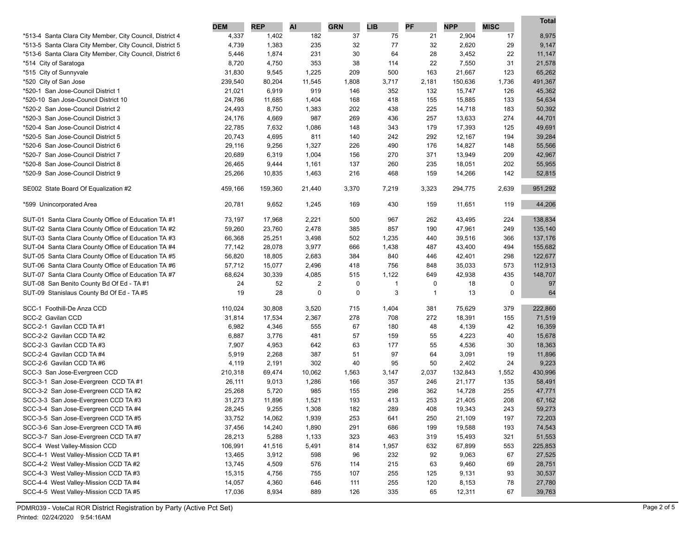|                                                          | <b>DEM</b> | <b>REP</b> | AI     | <b>GRN</b> | <b>LIB</b> | PF           | <b>NPP</b> | <b>MISC</b> | Total   |
|----------------------------------------------------------|------------|------------|--------|------------|------------|--------------|------------|-------------|---------|
| *513-4 Santa Clara City Member, City Council, District 4 | 4,337      | 1,402      | 182    | 37         | 75         | 21           | 2,904      | 17          | 8,975   |
| *513-5 Santa Clara City Member, City Council, District 5 | 4,739      | 1,383      | 235    | 32         | 77         | 32           | 2,620      | 29          | 9,147   |
| *513-6 Santa Clara City Member, City Council, District 6 | 5,446      | 1,874      | 231    | 30         | 64         | 28           | 3,452      | 22          | 11,147  |
| *514 City of Saratoga                                    | 8,720      | 4,750      | 353    | 38         | 114        | 22           | 7,550      | 31          | 21,578  |
| *515 City of Sunnyvale                                   | 31,830     | 9,545      | 1,225  | 209        | 500        | 163          | 21,667     | 123         | 65,262  |
| *520 City of San Jose                                    | 239,540    | 80,204     | 11,545 | 1,808      | 3,717      | 2,181        | 150,636    | 1,736       | 491,367 |
| *520-1 San Jose-Council District 1                       | 21,021     | 6,919      | 919    | 146        | 352        | 132          | 15,747     | 126         | 45,362  |
| *520-10 San Jose-Council District 10                     | 24,786     | 11,685     | 1,404  | 168        | 418        | 155          | 15,885     | 133         | 54,634  |
| *520-2 San Jose-Council District 2                       | 24,493     | 8,750      | 1,383  | 202        | 438        | 225          | 14,718     | 183         | 50,392  |
| *520-3 San Jose-Council District 3                       | 24,176     | 4,669      | 987    | 269        | 436        | 257          | 13,633     | 274         | 44,701  |
| *520-4 San Jose-Council District 4                       | 22,785     | 7,632      | 1,086  | 148        | 343        | 179          | 17,393     | 125         | 49,691  |
| *520-5 San Jose-Council District 5                       | 20,743     | 4,695      | 811    | 140        | 242        | 292          | 12,167     | 194         | 39,284  |
| *520-6 San Jose-Council District 6                       | 29,116     | 9,256      | 1,327  | 226        | 490        | 176          | 14,827     | 148         | 55,566  |
| *520-7 San Jose-Council District 7                       | 20,689     | 6,319      | 1,004  | 156        | 270        | 371          | 13,949     | 209         | 42,967  |
| *520-8 San Jose-Council District 8                       | 26,465     | 9,444      | 1,161  | 137        | 260        | 235          | 18,051     | 202         | 55,955  |
| *520-9 San Jose-Council District 9                       | 25,266     | 10,835     | 1,463  | 216        | 468        | 159          | 14,266     | 142         | 52,815  |
|                                                          |            |            |        |            |            |              |            |             |         |
| SE002 State Board Of Equalization #2                     | 459,166    | 159,360    | 21,440 | 3,370      | 7,219      | 3,323        | 294,775    | 2,639       | 951,292 |
| *599 Unincorporated Area                                 | 20,781     | 9,652      | 1,245  | 169        | 430        | 159          | 11,651     | 119         | 44,206  |
| SUT-01 Santa Clara County Office of Education TA #1      | 73,197     | 17,968     | 2,221  | 500        | 967        | 262          | 43,495     | 224         | 138,834 |
| SUT-02 Santa Clara County Office of Education TA #2      | 59,260     | 23,760     | 2,478  | 385        | 857        | 190          | 47,961     | 249         | 135,140 |
| SUT-03 Santa Clara County Office of Education TA #3      | 66,368     | 25,251     | 3,498  | 502        | 1,235      | 440          | 39,516     | 366         | 137,176 |
| SUT-04 Santa Clara County Office of Education TA #4      | 77,142     | 28,078     | 3,977  | 666        | 1,438      | 487          | 43,400     | 494         | 155,682 |
| SUT-05 Santa Clara County Office of Education TA #5      | 56,820     | 18,805     | 2,683  | 384        | 840        | 446          | 42,401     | 298         | 122,677 |
| SUT-06 Santa Clara County Office of Education TA #6      | 57,712     | 15,077     | 2,496  | 418        | 756        | 848          | 35,033     | 573         | 112,913 |
| SUT-07 Santa Clara County Office of Education TA #7      | 68,624     | 30,339     | 4,085  | 515        | 1,122      | 649          | 42,938     | 435         | 148,707 |
| SUT-08 San Benito County Bd Of Ed - TA #1                | 24         | 52         | 2      | 0          | 1          | 0            | 18         | 0           | 97      |
| SUT-09 Stanislaus County Bd Of Ed - TA #5                | 19         | 28         | 0      | 0          | 3          | $\mathbf{1}$ | 13         | 0           | 64      |
| SCC-1 Foothill-De Anza CCD                               | 110,024    | 30,808     | 3,520  | 715        | 1,404      | 381          | 75,629     | 379         | 222,860 |
| SCC-2 Gavilan CCD                                        | 31,814     | 17,534     | 2,367  | 278        | 708        | 272          | 18,391     | 155         | 71,519  |
| SCC-2-1 Gavilan CCD TA #1                                | 6,982      | 4,346      | 555    | 67         | 180        | 48           | 4,139      | 42          | 16,359  |
| SCC-2-2 Gavilan CCD TA #2                                | 6,887      | 3,776      | 481    | 57         | 159        | 55           | 4,223      | 40          | 15,678  |
| SCC-2-3 Gavilan CCD TA #3                                | 7,907      | 4,953      | 642    | 63         | 177        | 55           | 4,536      | 30          | 18,363  |
| SCC-2-4 Gavilan CCD TA #4                                | 5,919      | 2,268      | 387    | 51         | 97         | 64           | 3,091      | 19          | 11,896  |
| SCC-2-6 Gavilan CCD TA #6                                | 4,119      | 2,191      | 302    | 40         | 95         | 50           | 2,402      | 24          | 9,223   |
| SCC-3 San Jose-Evergreen CCD                             | 210,318    | 69,474     | 10,062 | 1,563      | 3,147      | 2,037        | 132,843    | 1,552       | 430,996 |
| SCC-3-1 San Jose-Evergreen CCD TA #1                     | 26,111     | 9,013      | 1,286  | 166        | 357        | 246          | 21,177     | 135         | 58,491  |
| SCC-3-2 San Jose-Evergreen CCD TA #2                     | 25,268     | 5,720      | 985    | 155        | 298        | 362          | 14,728     | 255         | 47,771  |
| SCC-3-3 San Jose-Evergreen CCD TA #3                     | 31,273     | 11,896     | 1,521  | 193        | 413        | 253          | 21,405     | 208         | 67,162  |
| SCC-3-4 San Jose-Evergreen CCD TA #4                     | 28,245     | 9,255      | 1,308  | 182        | 289        | 408          | 19,343     | 243         | 59,273  |
| SCC-3-5 San Jose-Evergreen CCD TA #5                     | 33,752     | 14,062     | 1,939  | 253        | 641        | 250          | 21,109     | 197         | 72,203  |
| SCC-3-6 San Jose-Evergreen CCD TA #6                     | 37,456     | 14,240     | 1,890  | 291        | 686        | 199          | 19,588     | 193         | 74,543  |
| SCC-3-7 San Jose-Evergreen CCD TA #7                     | 28,213     | 5,288      | 1,133  | 323        | 463        | 319          | 15,493     | 321         | 51,553  |
| SCC-4 West Valley-Mission CCD                            | 106,991    | 41,516     | 5,491  | 814        | 1,957      | 632          | 67,899     | 553         | 225,853 |
| SCC-4-1 West Valley-Mission CCD TA #1                    | 13,465     | 3,912      | 598    | 96         | 232        | 92           | 9,063      | 67          | 27,525  |
| SCC-4-2 West Valley-Mission CCD TA #2                    | 13,745     | 4,509      | 576    | 114        | 215        | 63           | 9,460      | 69          | 28,751  |
| SCC-4-3 West Valley-Mission CCD TA #3                    | 15,315     | 4,756      | 755    | 107        | 255        | 125          | 9,131      | 93          | 30,537  |
| SCC-4-4 West Valley-Mission CCD TA #4                    | 14,057     | 4,360      | 646    | 111        | 255        | 120          | 8,153      | 78          | 27,780  |
| SCC-4-5 West Valley-Mission CCD TA #5                    | 17,036     | 8,934      | 889    | 126        | 335        | 65           | 12,311     | 67          | 39,763  |

**Total**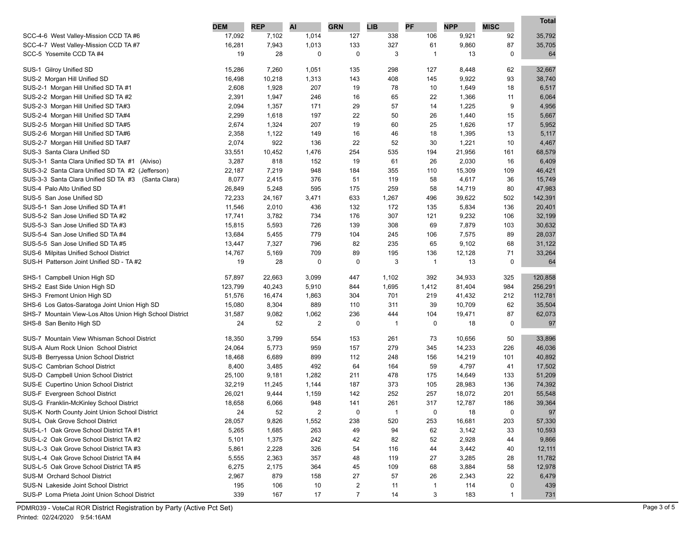|                                                          | <b>DEM</b> | <b>REP</b> | AI    | <b>GRN</b>     | <b>LIB</b> | PF             | <b>NPP</b> | <b>MISC</b>  | Total   |
|----------------------------------------------------------|------------|------------|-------|----------------|------------|----------------|------------|--------------|---------|
| SCC-4-6 West Valley-Mission CCD TA #6                    | 17,092     | 7,102      | 1,014 | 127            | 338        | 106            | 9,921      | 92           | 35,792  |
| SCC-4-7 West Valley-Mission CCD TA #7                    | 16,281     | 7,943      | 1,013 | 133            | 327        | 61             | 9,860      | 87           | 35,705  |
| SCC-5 Yosemite CCD TA #4                                 | 19         | 28         | 0     | 0              | 3          | $\mathbf{1}$   | 13         | 0            | 64      |
|                                                          |            |            |       |                |            |                |            |              |         |
| SUS-1 Gilroy Unified SD                                  | 15,286     | 7,260      | 1,051 | 135            | 298        | 127            | 8,448      | 62           | 32,667  |
| SUS-2 Morgan Hill Unified SD                             | 16,498     | 10,218     | 1,313 | 143            | 408        | 145            | 9,922      | 93           | 38,740  |
| SUS-2-1 Morgan Hill Unified SD TA #1                     | 2,608      | 1,928      | 207   | 19             | 78         | 10             | 1,649      | 18           | 6,517   |
| SUS-2-2 Morgan Hill Unified SD TA #2                     | 2,391      | 1,947      | 246   | 16             | 65         | 22             | 1,366      | 11           | 6,064   |
| SUS-2-3 Morgan Hill Unified SD TA#3                      | 2,094      | 1,357      | 171   | 29             | 57         | 14             | 1,225      | 9            | 4,956   |
| SUS-2-4 Morgan Hill Unified SD TA#4                      | 2,299      | 1,618      | 197   | 22             | 50         | 26             | 1,440      | 15           | 5,667   |
| SUS-2-5 Morgan Hill Unified SD TA#5                      | 2,674      | 1,324      | 207   | 19             | 60         | 25             | 1,626      | 17           | 5,952   |
| SUS-2-6 Morgan Hill Unified SD TA#6                      | 2,358      | 1,122      | 149   | 16             | 46         | 18             | 1,395      | 13           | 5,117   |
| SUS-2-7 Morgan Hill Unified SD TA#7                      | 2,074      | 922        | 136   | 22             | 52         | 30             | 1,221      | 10           | 4,467   |
| SUS-3 Santa Clara Unified SD                             | 33,551     | 10,452     | 1,476 | 254            | 535        | 194            | 21,956     | 161          | 68,579  |
| SUS-3-1 Santa Clara Unified SD TA #1 (Alviso)            | 3,287      | 818        | 152   | 19             | 61         | 26             | 2,030      | 16           | 6,409   |
| SUS-3-2 Santa Clara Unified SD TA #2 (Jefferson)         | 22,187     | 7,219      | 948   | 184            | 355        | 110            | 15,309     | 109          | 46,421  |
| SUS-3-3 Santa Clara Unified SD TA #3<br>(Santa Clara)    | 8,077      | 2,415      | 376   | 51             | 119        | 58             | 4,617      | 36           | 15,749  |
| SUS-4 Palo Alto Unified SD                               | 26,849     | 5,248      | 595   | 175            | 259        | 58             | 14,719     | 80           | 47,983  |
| SUS-5 San Jose Unified SD                                | 72,233     | 24,167     | 3,471 | 633            | 1,267      | 496            | 39,622     | 502          | 142,391 |
| SUS-5-1 San Jose Unified SD TA #1                        | 11,546     | 2,010      | 436   | 132            | 172        | 135            | 5,834      | 136          | 20,401  |
| SUS-5-2 San Jose Unified SD TA #2                        | 17,741     | 3,782      | 734   | 176            | 307        | 121            | 9,232      | 106          | 32,199  |
| SUS-5-3 San Jose Unified SD TA #3                        | 15,815     | 5,593      | 726   | 139            | 308        | 69             | 7,879      | 103          | 30,632  |
| SUS-5-4 San Jose Unified SD TA #4                        | 13,684     | 5,455      | 779   | 104            | 245        | 106            | 7,575      | 89           | 28,037  |
| SUS-5-5 San Jose Unified SD TA #5                        | 13,447     | 7,327      | 796   | 82             | 235        | 65             | 9,102      | 68           | 31,122  |
| SUS-6 Milpitas Unified School District                   | 14,767     | 5,169      | 709   | 89             | 195        | 136            | 12,128     | 71           | 33,264  |
| SUS-H Patterson Joint Unified SD - TA #2                 | 19         | 28         | 0     | 0              | 3          | $\overline{1}$ | 13         | 0            | 64      |
| SHS-1 Campbell Union High SD                             | 57,897     | 22,663     | 3,099 | 447            | 1,102      | 392            | 34,933     | 325          | 120,858 |
| SHS-2 East Side Union High SD                            | 123,799    | 40,243     | 5,910 | 844            | 1,695      | 1,412          | 81,404     | 984          | 256,291 |
| SHS-3 Fremont Union High SD                              | 51,576     | 16,474     | 1,863 | 304            | 701        | 219            | 41,432     | 212          | 112,781 |
| SHS-6 Los Gatos-Saratoga Joint Union High SD             | 15,080     | 8,304      | 889   | 110            | 311        | 39             | 10,709     | 62           | 35,504  |
| SHS-7 Mountain View-Los Altos Union High School District | 31,587     | 9,082      | 1,062 | 236            | 444        | 104            | 19,471     | 87           | 62,073  |
| SHS-8 San Benito High SD                                 | 24         | 52         | 2     | 0              | 1          | 0              | 18         | 0            | 97      |
|                                                          |            |            |       |                |            |                |            |              |         |
| SUS-7 Mountain View Whisman School District              | 18,350     | 3,799      | 554   | 153            | 261        | 73             | 10,656     | 50           | 33,896  |
| SUS-A Alum Rock Union School District                    | 24,064     | 5,773      | 959   | 157            | 279        | 345            | 14,233     | 226          | 46,036  |
| SUS-B Berryessa Union School District                    | 18,468     | 6,689      | 899   | 112            | 248        | 156            | 14,219     | 101          | 40,892  |
| SUS-C Cambrian School District                           | 8,400      | 3,485      | 492   | 64             | 164        | 59             | 4,797      | 41           | 17,502  |
| SUS-D Campbell Union School District                     | 25,100     | 9,181      | 1,282 | 211            | 478        | 175            | 14,649     | 133          | 51,209  |
| SUS-E Cupertino Union School District                    | 32,219     | 11,245     | 1,144 | 187            | 373        | 105            | 28,983     | 136          | 74,392  |
| SUS-F Evergreen School District                          | 26,021     | 9,444      | 1,159 | 142            | 252        | 257            | 18,072     | 201          | 55,548  |
| SUS-G Franklin-McKinley School District                  | 18,658     | 6,066      | 948   | 141            | 261        | 317            | 12,787     | 186          | 39,364  |
| SUS-K North County Joint Union School District           | 24         | 52         | 2     | 0              | 1          | 0              | 18         | 0            | 97      |
| SUS-L Oak Grove School District                          | 28,057     | 9,826      | 1,552 | 238            | 520        | 253            | 16,681     | 203          | 57,330  |
| SUS-L-1 Oak Grove School District TA #1                  | 5,265      | 1,685      | 263   | 49             | 94         | 62             | 3,142      | 33           | 10,593  |
| SUS-L-2 Oak Grove School District TA #2                  | 5,101      | 1,375      | 242   | 42             | 82         | 52             | 2,928      | 44           | 9,866   |
| SUS-L-3 Oak Grove School District TA #3                  | 5,861      | 2,228      | 326   | 54             | 116        | 44             | 3,442      | 40           | 12,111  |
| SUS-L-4 Oak Grove School District TA #4                  | 5,555      | 2,363      | 357   | 48             | 119        | 27             | 3,285      | 28           | 11,782  |
| SUS-L-5 Oak Grove School District TA #5                  | 6,275      | 2,175      | 364   | 45             | 109        | 68             | 3,884      | 58           | 12,978  |
| SUS-M Orchard School District                            | 2,967      | 879        | 158   | 27             | 57         | 26             | 2,343      | 22           | 6,479   |
| SUS-N Lakeside Joint School District                     | 195        | 106        | 10    | $\overline{c}$ | 11         | $\mathbf{1}$   | 114        | 0            | 439     |
| SUS-P Loma Prieta Joint Union School District            | 339        | 167        | 17    | 7              | 14         | 3              | 183        | $\mathbf{1}$ | 731     |

PDMR039 - VoteCal ROR District Registration by Party (Active Pct Set)

 $\overline{\phantom{0}}$ 

**Total**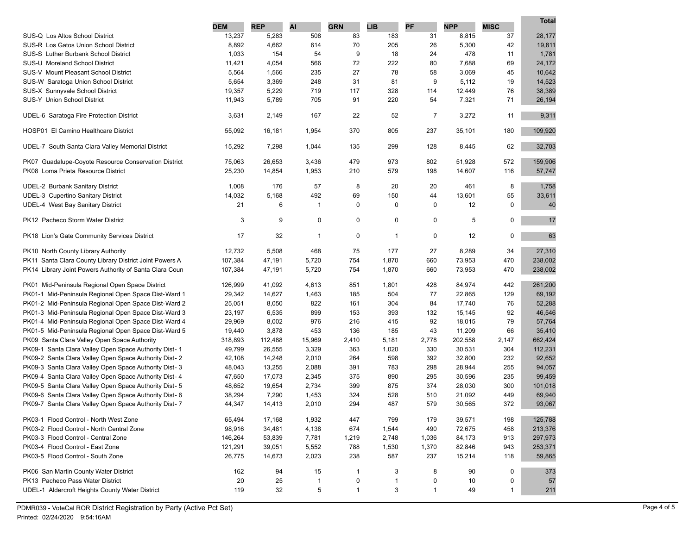|                                                                                            |            |            |                |                           |                   |                   |            |              | <b>Total</b> |
|--------------------------------------------------------------------------------------------|------------|------------|----------------|---------------------------|-------------------|-------------------|------------|--------------|--------------|
|                                                                                            | <b>DEM</b> | <b>REP</b> | AI             | <b>GRN</b>                | <b>LIB</b>        | <b>PF</b>         | <b>NPP</b> | <b>MISC</b>  |              |
| SUS-Q Los Altos School District                                                            | 13,237     | 5,283      | 508            | 83                        | 183               | 31                | 8,815      | 37           | 28,177       |
| <b>SUS-R Los Gatos Union School District</b>                                               | 8,892      | 4,662      | 614            | 70                        | 205               | 26                | 5,300      | 42           | 19,811       |
| <b>SUS-S</b> Luther Burbank School District                                                | 1,033      | 154        | 54             | 9                         | 18                | 24                | 478        | 11           | 1,781        |
| SUS-U Moreland School District                                                             | 11,421     | 4,054      | 566            | 72                        | 222               | 80                | 7,688      | 69           | 24,172       |
| SUS-V Mount Pleasant School District                                                       | 5,564      | 1,566      | 235            | 27                        | 78                | 58                | 3,069      | 45           | 10,642       |
| SUS-W Saratoga Union School District                                                       | 5,654      | 3,369      | 248            | 31                        | 81                | 9                 | 5,112      | 19           | 14,523       |
| SUS-X Sunnyvale School District                                                            | 19,357     | 5,229      | 719            | 117                       | 328               | 114               | 12,449     | 76           | 38,389       |
| SUS-Y Union School District                                                                | 11,943     | 5,789      | 705            | 91                        | 220               | 54                | 7,321      | 71           | 26,194       |
| UDEL-6 Saratoga Fire Protection District                                                   | 3,631      | 2,149      | 167            | 22                        | 52                | $\overline{7}$    | 3,272      | 11           | 9,311        |
| HOSP01 El Camino Healthcare District                                                       | 55,092     | 16,181     | 1,954          | 370                       | 805               | 237               | 35,101     | 180          | 109,920      |
| UDEL-7 South Santa Clara Valley Memorial District                                          | 15,292     | 7,298      | 1,044          | 135                       | 299               | 128               | 8,445      | 62           | 32,703       |
| PK07 Guadalupe-Coyote Resource Conservation District                                       | 75,063     | 26,653     | 3,436          | 479                       | 973               | 802               | 51,928     | 572          | 159,906      |
| PK08 Loma Prieta Resource District                                                         | 25,230     | 14,854     | 1,953          | 210                       | 579               | 198               | 14,607     | 116          | 57,747       |
| <b>UDEL-2 Burbank Sanitary District</b>                                                    | 1,008      | 176        | 57             | 8                         | 20                | 20                | 461        | 8            | 1,758        |
| <b>UDEL-3 Cupertino Sanitary District</b>                                                  | 14,032     | 5,168      | 492            | 69                        | 150               | 44                | 13,601     | 55           | 33,611       |
| UDEL-4 West Bay Sanitary District                                                          | 21         | 6          | $\mathbf{1}$   | $\mathbf 0$               | 0                 | $\mathbf 0$       | 12         | 0            | 40           |
|                                                                                            |            |            |                |                           |                   |                   |            |              |              |
| PK12 Pacheco Storm Water District                                                          | 3          | 9          | 0              | 0                         | 0                 | 0                 | 5          | 0            | 17           |
| PK18 Lion's Gate Community Services District                                               | 17         | 32         | $\overline{1}$ | 0                         | $\mathbf{1}$      | 0                 | 12         | 0            | 63           |
| PK10 North County Library Authority                                                        | 12,732     | 5,508      | 468            | 75                        | 177               | 27                | 8,289      | 34           | 27,310       |
| PK11 Santa Clara County Library District Joint Powers A                                    | 107,384    | 47,191     | 5,720          | 754                       | 1,870             | 660               | 73,953     | 470          | 238,002      |
| PK14 Library Joint Powers Authority of Santa Clara Coun                                    | 107,384    | 47,191     | 5,720          | 754                       | 1,870             | 660               | 73,953     | 470          | 238,002      |
| PK01 Mid-Peninsula Regional Open Space District                                            | 126,999    | 41,092     | 4,613          | 851                       | 1,801             | 428               | 84,974     | 442          | 261,200      |
| PK01-1 Mid-Peninsula Regional Open Space Dist-Ward 1                                       | 29,342     | 14,627     | 1,463          | 185                       | 504               | 77                | 22,865     | 129          | 69,192       |
| PK01-2 Mid-Peninsula Regional Open Space Dist-Ward 2                                       | 25,051     | 8,050      | 822            | 161                       | 304               | 84                | 17,740     | 76           | 52,288       |
| PK01-3 Mid-Peninsula Regional Open Space Dist-Ward 3                                       | 23,197     | 6,535      | 899            | 153                       | 393               | 132               | 15,145     | 92           | 46,546       |
| PK01-4 Mid-Peninsula Regional Open Space Dist-Ward 4                                       | 29,969     | 8,002      | 976            | 216                       | 415               | 92                | 18,015     | 79           | 57,764       |
| PK01-5 Mid-Peninsula Regional Open Space Dist-Ward 5                                       | 19,440     | 3,878      | 453            | 136                       | 185               | 43                | 11,209     | 66           | 35,410       |
| PK09 Santa Clara Valley Open Space Authority                                               | 318,893    | 112,488    | 15,969         | 2,410                     | 5,181             | 2,778             | 202,558    | 2,147        | 662,424      |
| PK09-1 Santa Clara Valley Open Space Authority Dist-1                                      | 49,799     | 26,555     | 3,329          | 363                       | 1,020             | 330               | 30,531     | 304          | 112,231      |
| PK09-2 Santa Clara Valley Open Space Authority Dist-2                                      | 42,108     | 14,248     | 2,010          | 264                       | 598               | 392               | 32,800     | 232          | 92,652       |
| PK09-3 Santa Clara Valley Open Space Authority Dist-3                                      | 48,043     | 13,255     | 2,088          | 391                       | 783               | 298               | 28,944     | 255          | 94,057       |
| PK09-4 Santa Clara Valley Open Space Authority Dist- 4                                     | 47,650     | 17,073     | 2,345          | 375                       | 890               | 295               | 30,596     | 235          | 99,459       |
| PK09-5 Santa Clara Valley Open Space Authority Dist-5                                      | 48,652     | 19,654     | 2,734          | 399                       | 875               | 374               | 28,030     | 300          | 101,018      |
| PK09-6 Santa Clara Valley Open Space Authority Dist- 6                                     | 38,294     | 7,290      | 1,453          | 324                       | 528               | 510               | 21,092     | 449          | 69,940       |
| PK09-7 Santa Clara Valley Open Space Authority Dist-7                                      | 44,347     | 14,413     | 2,010          | 294                       | 487               | 579               | 30,565     | 372          | 93,067       |
| PK03-1 Flood Control - North West Zone                                                     | 65,494     | 17,168     | 1,932          | 447                       | 799               | 179               | 39,571     | 198          | 125,788      |
| PK03-2 Flood Control - North Central Zone                                                  | 98,916     | 34,481     | 4,138          | 674                       | 1,544             | 490               | 72,675     | 458          | 213,376      |
| PK03-3 Flood Control - Central Zone                                                        | 146,264    | 53,839     | 7,781          | 1,219                     | 2,748             | 1,036             | 84,173     | 913          | 297,973      |
| PK03-4 Flood Control - East Zone                                                           | 121,291    | 39,051     | 5,552          | 788                       | 1,530             | 1,370             | 82,846     | 943          | 253,371      |
| PK03-5 Flood Control - South Zone                                                          | 26,775     | 14,673     | 2,023          | 238                       | 587               | 237               | 15,214     | 118          | 59,865       |
|                                                                                            |            |            |                |                           |                   |                   |            |              |              |
| PK06 San Martin County Water District                                                      | 162        | 94         | 15             | $\mathbf{1}$              | 3                 | 8                 | 90         | 0            | 373          |
| PK13 Pacheco Pass Water District<br><b>UDEL-1 Aldercroft Heights County Water District</b> | 20         | 25         | $\mathbf{1}$   | $\pmb{0}$<br>$\mathbf{1}$ | $\mathbf{1}$<br>3 | 0<br>$\mathbf{1}$ | 10         | 0            | 57           |
|                                                                                            | 119        | 32         | 5              |                           |                   |                   | 49         | $\mathbf{1}$ | 211          |